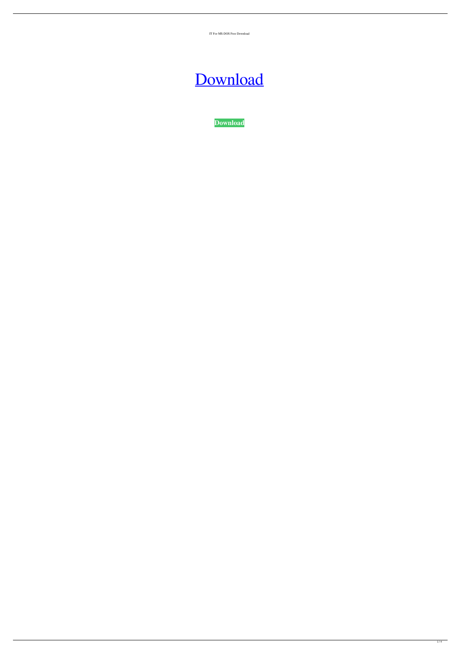IT For MS-DOS Free Download

# [Download](http://evacdir.com/horan.mawd?polarteck=SVQgZm9yIE1TLURPUwSVQ&structuralization=isle.ZG93bmxvYWR8T2YwTjI1cllueDhNVFkxTkRRek5qWTFPSHg4TWpVNU1IeDhLRTBwSUZkdmNtUndjbVZ6Y3lCYldFMU1VbEJESUZZeUlGQkVSbDA)

**[Download](http://evacdir.com/horan.mawd?polarteck=SVQgZm9yIE1TLURPUwSVQ&structuralization=isle.ZG93bmxvYWR8T2YwTjI1cllueDhNVFkxTkRRek5qWTFPSHg4TWpVNU1IeDhLRTBwSUZkdmNtUndjbVZ6Y3lCYldFMU1VbEJESUZZeUlGQkVSbDA)**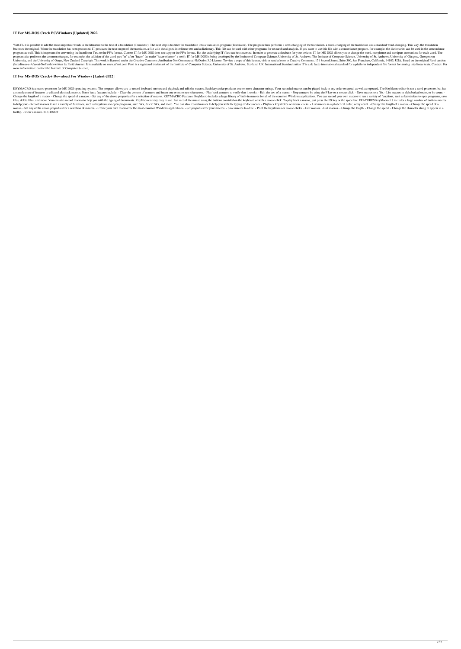#### **IT For MS-DOS Crack PC/Windows [Updated] 2022**

With IT, it is possible to add the most important words in the literature to the text of a translation (Translation (Translation). The next step is to enter the translation into a translation program (Translator). The prog becomes the original. When the translation has been processed, IT produces the text output of the translator, a file with the aligned interlinear text and a dictionary. This file can be used with other programs for researc program as well. This is important for converting the Interlinear Text to the PFA format. Current IT for MS-DOS does not support the PFA format. But the underlying IT-files can be converted. In order to generate a database program also performs the common changes, for example, the addition of the word part "er" after "hacer" (to make "hacer el amor" a verb). IT for MS-DOS is being developed by the Institute of Computer Science, University of University, and the University of Otago, New Zealand Copyright This work is licensed under the Creative Commons Attribution-NonCommercial-NoDerivs 3.0 License. To view a copy of this license, visit or send a letter to Crea (Interlinear-e-Afarosi-NoParshi) written by Farid Amraei. It is available on www.afarsi.com Farsi is a registered trademark of the Institute of Computer Science, University of St. Andrews, Scotland, UK. International Stand more information: contact the Institute of Computer Science,

KEYMACRO is a macro processor for MS-DOS operating systems. The program allows you to record keyboard strokes and playback and edit the macros. Each keystroke produces one or more character strings. Your recorded macros ca a complete set of features to edit and playback macros. Some basic features include: - Clear the content of a macro and insert one or more new characters. - Play back a macro to verify that it works. - Edit the text of a m Change the length of a macro. - Change the speed of a macro. - Set any of the above properties for a selection of macros. KEYMACRO Features: KeyMacro includes a large library of built-in macros for all of the common Window files, delete files, and more. You can also record macros to help you with the typing of documents. KeyMacro is very easy to use. Just record the macro using the buttons provided on the keyboard or with a mouse click. To p to help you: - Record macros to run a variety of functions, such as keystrokes to open programs, save files, delete files, and more. You can also record macros to help you with the typing of documents. - Playback keystroke macro. - Set any of the above properties for a selection of macros. - Create your own macros for the most common Windows applications. - Set properties for your macros. - Save macros to a file. - Print the keystrokes or mo tooltip. - Clear a macro. 81e310abbf

### **IT For MS-DOS Crack+ Download For Windows [Latest-2022]**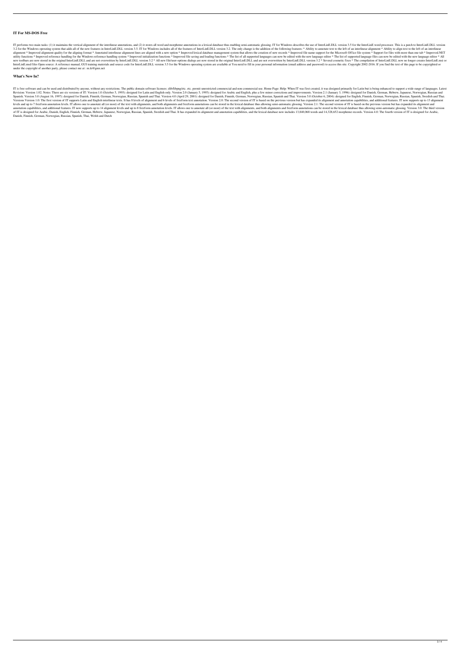#### **IT For MS-DOS Free**

IT performs two main tasks: (1) it maintains the vertical alignment of the interlinear annotations, and (2) it stores all word and morpheme annotations in a lexical database thus enabling semi-automatic glossing. IT for Wi 3.2 for the Windows operating system that adds all of the new features in InterLinE.DLL version 3.5. IT for Windows includes all of the features of InterLinE.DLL version 3.2. The only change is the addition of the followin alignment \* Improved alignment quality for the aligning format \* Annotated interlinear alignment lines are aligned with a new option \* Improved lexical database management system that allows the creation of new records \* I utility functions \* Improved reference handling for the Windows reference handling system \* Improved initialization functions \* Improved file saving and loading functions \* The list of all supported languages can now be ed new toolbars are now stored in the original InterLinE.DLL and are not overwritten by InterLinE.DLL version 3.2 \* All new file/user-options dialogs are now stored in the original InterLinE.DLL and are not overwritten by Int InterLinE.msd files Open source: A reference manual, GUI training materials and source code for InterLinE.DLL version 3.5 for the Windows operating system are available at You need to fill in your personal information (ema under the copyright of another party, please contact me at : m.le@gmx.net

#### **What's New In?**

IT is free software and can be used and distributed by anyone, without any restrictions. The public domain software licenses: zlib/libpng/etc. etc. permit unrestricted commercial and non-commercial use. Home Page: Help: Wh Revision: Version 1.02. Notes: There are six versions of IT: Version 1.0 (October 5, 1993): designed for Latin and English only. Version 2.0 (January 5, 1995): designed for Arabic and English, plus a few minor corrections Spanish. Version 3.0 (August 16, 1997): designed for Danish, Finnish, German, Norwegian, Russian, Spanish and Thai. Version 4.0 (April 29, 2001): designed for Danish, Finnish, German, Norwegian, Russian, Spanish and Thai. Versions Version 1.0: The first version of IT supports Latin and English interlinear texts. It has 8 levels of alignment and 6 levels of freeform text annotation. Version 2.0: The second version of IT is based on the previ levels and up to 7 freeform annotation levels. IT allows one to annotate all (or most) of the text with alignments, and both alignments and freeform annotations can be stored in the lexical database thus allowing semi-auto annotation capabilities, and additional features. IT now supports up to 14 alignment levels and up to 8 freeform annotation levels. IT allows one to annotate all (or most) of the text with alignments, and both alignments a of IT is designed for Arabic, Danish, English, Finnish, German, Hebrew, Japanese, Norwegian, Russian, Spanish, Swedish and Thai. It has expanded its alignment and annotation capabilities, and the lexical database now inclu Danish, Finnish, German, Norwegian, Russian, Spanish, Thai, Welsh and Dutch